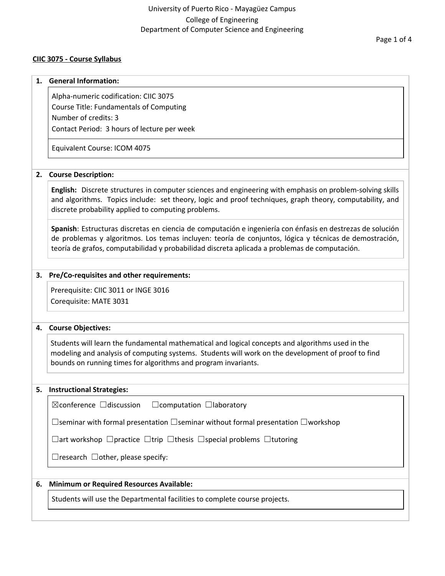# **CIIC 3075 - Course Syllabus**

#### **1. General Information:**

Alpha-numeric codification: CIIC 3075 Course Title: Fundamentals of Computing Number of credits: 3 Contact Period: 3 hours of lecture per week

Equivalent Course: ICOM 4075

# **2. Course Description:**

**English:** Discrete structures in computer sciences and engineering with emphasis on problem-solving skills and algorithms. Topics include: set theory, logic and proof techniques, graph theory, computability, and discrete probability applied to computing problems.

**Spanish**: Estructuras discretas en ciencia de computación e ingeniería con énfasis en destrezas de solución de problemas y algoritmos. Los temas incluyen: teoría de conjuntos, lógica y técnicas de demostración, teoría de grafos, computabilidad y probabilidad discreta aplicada a problemas de computación.

# **3. Pre/Co-requisites and other requirements:**

Prerequisite: CIIC 3011 or INGE 3016 Corequisite: MATE 3031

## **4. Course Objectives:**

Students will learn the fundamental mathematical and logical concepts and algorithms used in the modeling and analysis of computing systems. Students will work on the development of proof to find bounds on running times for algorithms and program invariants.

## **5. Instructional Strategies:**

| $\boxtimes$ conference $\Box$ discussion | $\Box$ computation $\Box$ laboratory |  |
|------------------------------------------|--------------------------------------|--|
|                                          |                                      |  |

☐seminar with formal presentation ☐seminar without formal presentation ☐workshop

☐art workshop ☐practice ☐trip ☐thesis ☐special problems ☐tutoring

 $\Box$ research  $\Box$ other, please specify:

## **6. Minimum or Required Resources Available:**

Students will use the Departmental facilities to complete course projects.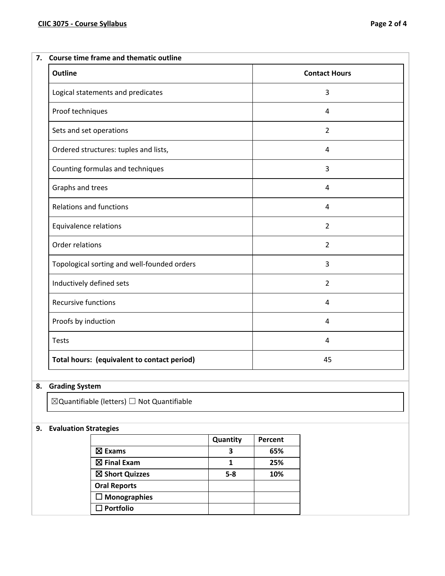| <b>Outline</b>                        | <b>Contact Hours</b> |
|---------------------------------------|----------------------|
| Logical statements and predicates     | 3                    |
| Proof techniques                      | 4                    |
| Sets and set operations               | 2                    |
| Ordered structures: tuples and lists, | 4                    |
| Counting formulas and techniques      | 3                    |
| Graphs and trees                      | 4                    |
| <b>Relations and functions</b>        | 4                    |
|                                       |                      |

| Equivalence relations                       | 2  |
|---------------------------------------------|----|
| Order relations                             | 2  |
| Topological sorting and well-founded orders | 3  |
| Inductively defined sets                    | 2  |
| <b>Recursive functions</b>                  | 4  |
| Proofs by induction                         | 4  |
| <b>Tests</b>                                | 4  |
| Total hours: (equivalent to contact period) | 45 |

# **8. Grading System**

☒Quantifiable (letters) ☐ Not Quantifiable

# **9. Evaluation Strategies**

|                        | Quantity | Percent |
|------------------------|----------|---------|
| $\boxtimes$ Exams      |          | 65%     |
| $\boxtimes$ Final Exam |          | 25%     |
| ⊠ Short Quizzes        | $5 - 8$  | 10%     |
| <b>Oral Reports</b>    |          |         |
| $\square$ Monographies |          |         |
| $\Box$ Portfolio       |          |         |